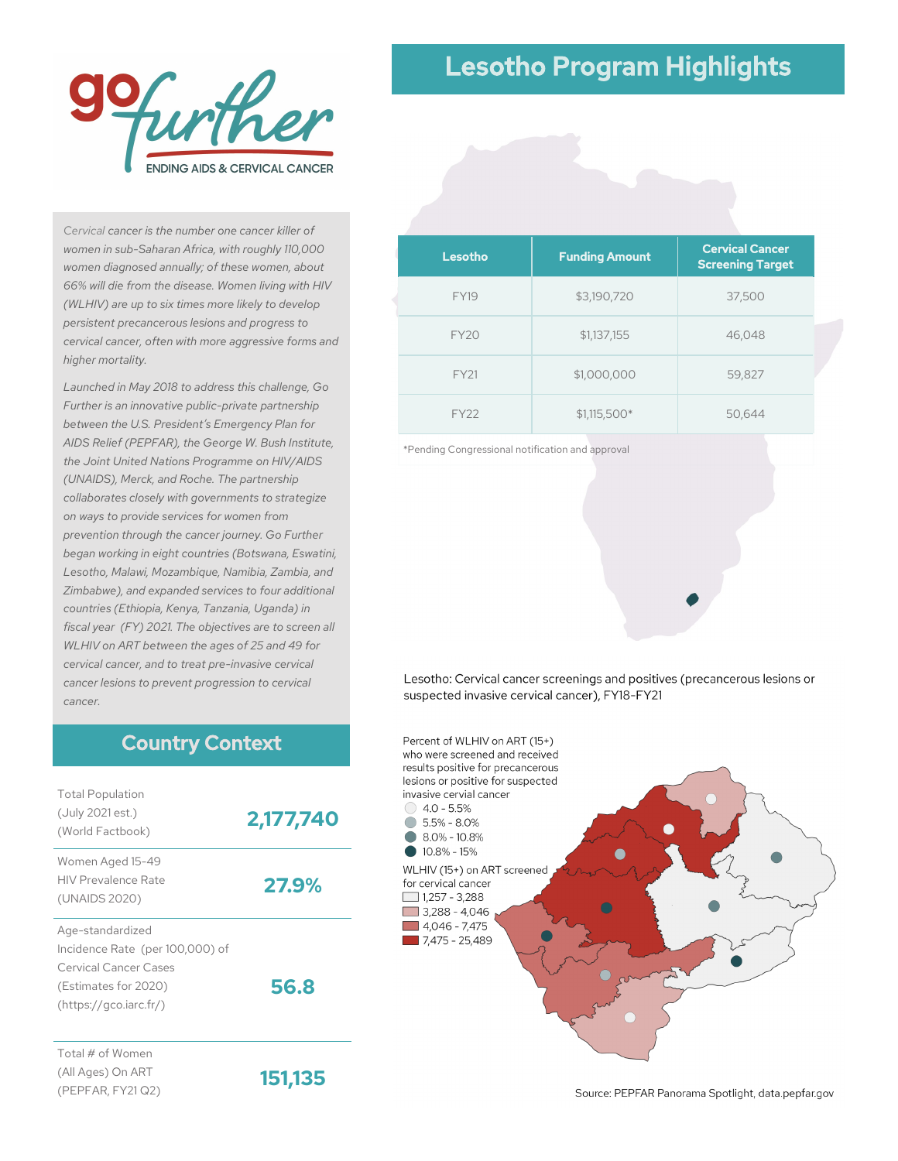

# Lesotho Program Highlights

*Cervical cancer is the number one cancer killer of women in sub-Saharan Africa, with roughly 110,000 women diagnosed annually; of these women, about 66% will die from the disease. Women living with HIV (WLHIV) are up to six times more likely to develop persistent precancerous lesions and progress to cervical cancer, often with more aggressive forms and higher mortality.*

*Launched in May 2018 to address this challenge, Go Further is an innovative public-private partnership between the U.S. President's Emergency Plan for AIDS Relief (PEPFAR), the George W. Bush Institute, the Joint United Nations Programme on HIV/AIDS (UNAIDS), Merck, and Roche. The partnership collaborates closely with governments to strategize on ways to provide services for women from prevention through the cancer journey. Go Further began working in eight countries (Botswana, Eswatini, Lesotho, Malawi, Mozambique, Namibia, Zambia, and Zimbabwe), and expanded services to four additional countries (Ethiopia, Kenya, Tanzania, Uganda) in fiscal year (FY) 2021. The objectives are to screen all WLHIV on ART between the ages of 25 and 49 for cervical cancer, and to treat pre-invasive cervical cancer lesions to prevent progression to cervical cancer.*

#### Country Context

| <b>Total Population</b><br>(July 2021 est.)<br>(World Factbook)                                                                | 2,177,740 |
|--------------------------------------------------------------------------------------------------------------------------------|-----------|
| Women Aged 15-49<br><b>HIV Prevalence Rate</b><br>(UNAIDS 2020)                                                                | 27.9%     |
| Age-standardized<br>Incidence Rate (per 100,000) of<br>Cervical Cancer Cases<br>(Estimates for 2020)<br>(htips://qco.iarc.fr/) | 56.8      |
| Total # of Women<br>(All Ages) On ART<br>(PEPFAR, FY21 Q2)                                                                     | 151,135   |

| Lesotho     | <b>Funding Amount</b> | <b>Cervical Cancer</b><br><b>Screening Target</b> |
|-------------|-----------------------|---------------------------------------------------|
| <b>FY19</b> | \$3,190,720           | 37,500                                            |
| <b>FY20</b> | \$1,137,155           | 46,048                                            |
| <b>FY21</b> | \$1,000,000           | 59,827                                            |
| <b>FY22</b> | $$1,115,500*$         | 50,644                                            |

\*Pending Congressional notification and approval

Lesotho: Cervical cancer screenings and positives (precancerous lesions or suspected invasive cervical cancer), FY18-FY21



Source: PEPFAR Panorama Spotlight, data.pepfar.gov